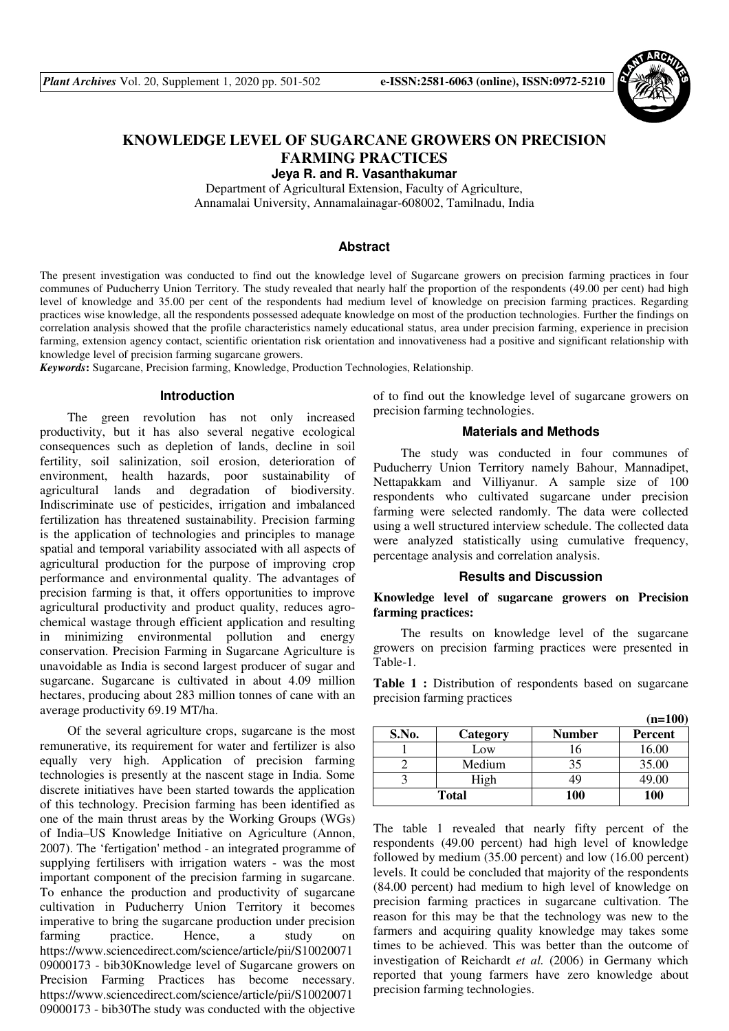

# **KNOWLEDGE LEVEL OF SUGARCANE GROWERS ON PRECISION FARMING PRACTICES**

**Jeya R. and R. Vasanthakumar** 

Department of Agricultural Extension, Faculty of Agriculture, Annamalai University, Annamalainagar-608002, Tamilnadu, India

## **Abstract**

The present investigation was conducted to find out the knowledge level of Sugarcane growers on precision farming practices in four communes of Puducherry Union Territory. The study revealed that nearly half the proportion of the respondents (49.00 per cent) had high level of knowledge and 35.00 per cent of the respondents had medium level of knowledge on precision farming practices. Regarding practices wise knowledge, all the respondents possessed adequate knowledge on most of the production technologies. Further the findings on correlation analysis showed that the profile characteristics namely educational status, area under precision farming, experience in precision farming, extension agency contact, scientific orientation risk orientation and innovativeness had a positive and significant relationship with knowledge level of precision farming sugarcane growers.

*Keywords***:** Sugarcane, Precision farming, Knowledge, Production Technologies, Relationship.

## **Introduction**

The green revolution has not only increased productivity, but it has also several negative ecological consequences such as depletion of lands, decline in soil fertility, soil salinization, soil erosion, deterioration of environment, health hazards, poor sustainability of agricultural lands and degradation of biodiversity. Indiscriminate use of pesticides, irrigation and imbalanced fertilization has threatened sustainability. Precision farming is the application of technologies and principles to manage spatial and temporal variability associated with all aspects of agricultural production for the purpose of improving crop performance and environmental quality. The advantages of precision farming is that, it offers opportunities to improve agricultural productivity and product quality, reduces agrochemical wastage through efficient application and resulting in minimizing environmental pollution and energy conservation. Precision Farming in Sugarcane Agriculture is unavoidable as India is second largest producer of sugar and sugarcane. Sugarcane is cultivated in about 4.09 million hectares, producing about 283 million tonnes of cane with an average productivity 69.19 MT/ha.

Of the several agriculture crops, sugarcane is the most remunerative, its requirement for water and fertilizer is also equally very high. Application of precision farming technologies is presently at the nascent stage in India. Some discrete initiatives have been started towards the application of this technology. Precision farming has been identified as one of the main thrust areas by the Working Groups (WGs) of India–US Knowledge Initiative on Agriculture (Annon, 2007). The 'fertigation' method - an integrated programme of supplying fertilisers with irrigation waters - was the most important component of the precision farming in sugarcane. To enhance the production and productivity of sugarcane cultivation in Puducherry Union Territory it becomes imperative to bring the sugarcane production under precision farming practice. Hence, a study on https://www.sciencedirect.com/science/article/pii/S10020071 09000173 - bib30Knowledge level of Sugarcane growers on Precision Farming Practices has become necessary. https://www.sciencedirect.com/science/article/pii/S10020071 09000173 - bib30The study was conducted with the objective of to find out the knowledge level of sugarcane growers on precision farming technologies.

### **Materials and Methods**

The study was conducted in four communes of Puducherry Union Territory namely Bahour, Mannadipet, Nettapakkam and Villiyanur. A sample size of 100 respondents who cultivated sugarcane under precision farming were selected randomly. The data were collected using a well structured interview schedule. The collected data were analyzed statistically using cumulative frequency, percentage analysis and correlation analysis.

#### **Results and Discussion**

## **Knowledge level of sugarcane growers on Precision farming practices:**

The results on knowledge level of the sugarcane growers on precision farming practices were presented in Table-1.

**Table 1 :** Distribution of respondents based on sugarcane precision farming practices

|              |          |               | $(n=100)$      |
|--------------|----------|---------------|----------------|
| S.No.        | Category | <b>Number</b> | <b>Percent</b> |
|              | Low      |               | 16.00          |
|              | Medium   | 35            | 35.00          |
|              | High     | 19            | 49.00          |
| <b>Total</b> |          | <b>100</b>    | <b>100</b>     |

The table 1 revealed that nearly fifty percent of the respondents (49.00 percent) had high level of knowledge followed by medium (35.00 percent) and low (16.00 percent) levels. It could be concluded that majority of the respondents (84.00 percent) had medium to high level of knowledge on precision farming practices in sugarcane cultivation. The reason for this may be that the technology was new to the farmers and acquiring quality knowledge may takes some times to be achieved. This was better than the outcome of investigation of Reichardt *et al.* (2006) in Germany which reported that young farmers have zero knowledge about precision farming technologies.